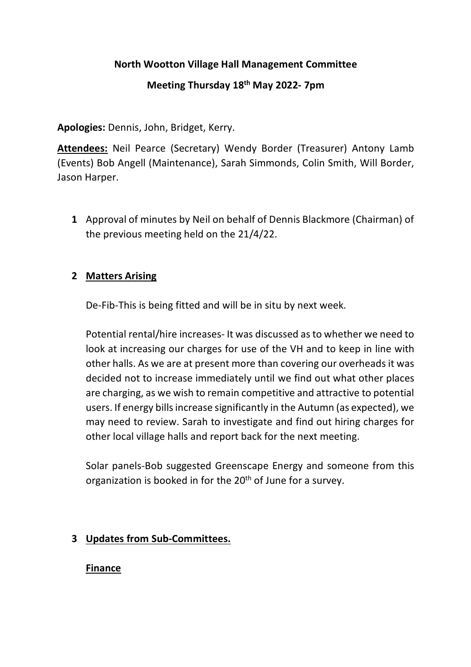## **North Wootton Village Hall Management Committee**

# **Meeting Thursday 18th May 2022- 7pm**

**Apologies:** Dennis, John, Bridget, Kerry.

**Attendees:** Neil Pearce (Secretary) Wendy Border (Treasurer) Antony Lamb (Events) Bob Angell (Maintenance), Sarah Simmonds, Colin Smith, Will Border, Jason Harper.

**1** Approval of minutes by Neil on behalf of Dennis Blackmore (Chairman) of the previous meeting held on the 21/4/22.

## **2 Matters Arising**

De-Fib-This is being fitted and will be in situ by next week.

Potential rental/hire increases- It was discussed as to whether we need to look at increasing our charges for use of the VH and to keep in line with other halls. As we are at present more than covering our overheads it was decided not to increase immediately until we find out what other places are charging, as we wish to remain competitive and attractive to potential users. If energy bills increase significantly in the Autumn (as expected), we may need to review. Sarah to investigate and find out hiring charges for other local village halls and report back for the next meeting.

Solar panels-Bob suggested Greenscape Energy and someone from this organization is booked in for the  $20<sup>th</sup>$  of June for a survey.

# **3 Updates from Sub-Committees.**

#### **Finance**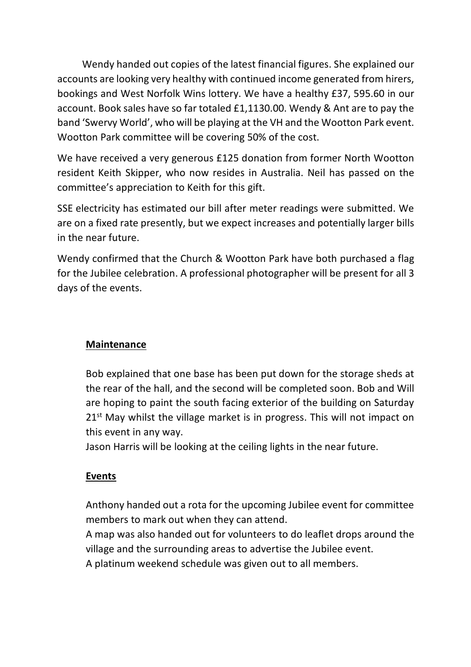Wendy handed out copies of the latest financial figures. She explained our accounts are looking very healthy with continued income generated from hirers, bookings and West Norfolk Wins lottery. We have a healthy £37, 595.60 in our account. Book sales have so far totaled £1,1130.00. Wendy & Ant are to pay the band 'Swervy World', who will be playing at the VH and the Wootton Park event. Wootton Park committee will be covering 50% of the cost.

We have received a very generous £125 donation from former North Wootton resident Keith Skipper, who now resides in Australia. Neil has passed on the committee's appreciation to Keith for this gift.

SSE electricity has estimated our bill after meter readings were submitted. We are on a fixed rate presently, but we expect increases and potentially larger bills in the near future.

Wendy confirmed that the Church & Wootton Park have both purchased a flag for the Jubilee celebration. A professional photographer will be present for all 3 days of the events.

# **Maintenance**

Bob explained that one base has been put down for the storage sheds at the rear of the hall, and the second will be completed soon. Bob and Will are hoping to paint the south facing exterior of the building on Saturday  $21<sup>st</sup>$  May whilst the village market is in progress. This will not impact on this event in any way.

Jason Harris will be looking at the ceiling lights in the near future.

# **Events**

Anthony handed out a rota for the upcoming Jubilee event for committee members to mark out when they can attend.

A map was also handed out for volunteers to do leaflet drops around the village and the surrounding areas to advertise the Jubilee event.

A platinum weekend schedule was given out to all members.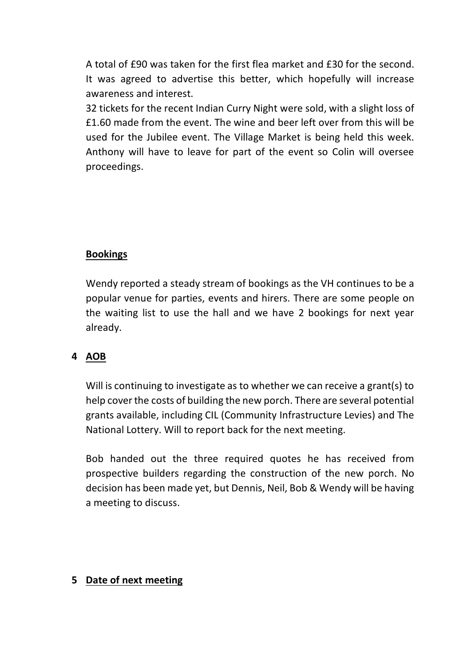A total of £90 was taken for the first flea market and £30 for the second. It was agreed to advertise this better, which hopefully will increase awareness and interest.

32 tickets for the recent Indian Curry Night were sold, with a slight loss of £1.60 made from the event. The wine and beer left over from this will be used for the Jubilee event. The Village Market is being held this week. Anthony will have to leave for part of the event so Colin will oversee proceedings.

#### **Bookings**

Wendy reported a steady stream of bookings as the VH continues to be a popular venue for parties, events and hirers. There are some people on the waiting list to use the hall and we have 2 bookings for next year already.

#### **4 AOB**

Will is continuing to investigate as to whether we can receive a grant(s) to help cover the costs of building the new porch. There are several potential grants available, including CIL (Community Infrastructure Levies) and The National Lottery. Will to report back for the next meeting.

Bob handed out the three required quotes he has received from prospective builders regarding the construction of the new porch. No decision has been made yet, but Dennis, Neil, Bob & Wendy will be having a meeting to discuss.

#### **5 Date of next meeting**